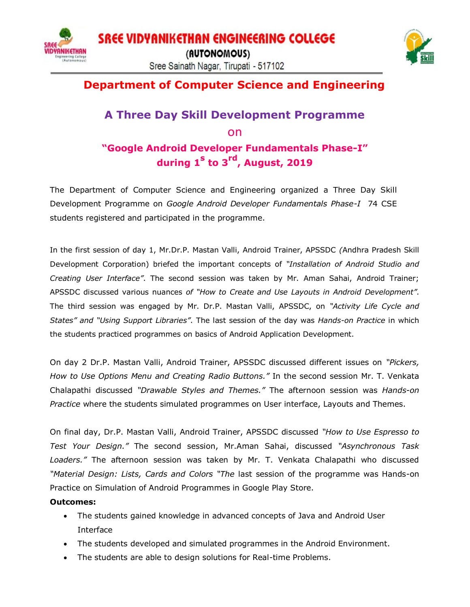



## **Department of Computer Science and Engineering**

## **A Three Day Skill Development Programme** on **"Google Android Developer Fundamentals Phase-I" during 1<sup>s</sup> to 3rd, August, 2019**

The Department of Computer Science and Engineering organized a Three Day Skill Development Programme on *Google Android Developer Fundamentals Phase-I* 74 CSE students registered and participated in the programme.

In the first session of day 1, Mr.Dr.P. Mastan Valli, Android Trainer, APSSDC *(*Andhra Pradesh Skill Development Corporation) briefed the important concepts of *"Installation of Android Studio and Creating User Interface"*. The second session was taken by Mr. Aman Sahai, Android Trainer; APSSDC discussed various nuances *of "How to Create and Use Layouts in Android Development"*. The third session was engaged by Mr. Dr.P. Mastan Valli, APSSDC, on *"Activity Life Cycle and States" and "Using Support Libraries"*. The last session of the day was *Hands-on Practice* in which the students practiced programmes on basics of Android Application Development.

On day 2 Dr.P. Mastan Valli, Android Trainer, APSSDC discussed different issues on *"Pickers, How to Use Options Menu and Creating Radio Buttons."* In the second session Mr. T. Venkata Chalapathi discussed *"Drawable Styles and Themes."* The afternoon session was *Hands-on Practice* where the students simulated programmes on User interface, Layouts and Themes.

On final day, Dr.P. Mastan Valli, Android Trainer, APSSDC discussed *"How to Use Espresso to Test Your Design."* The second session, Mr.Aman Sahai, discussed *"Asynchronous Task Loaders."* The afternoon session was taken by Mr. T. Venkata Chalapathi who discussed *"Material Design: Lists, Cards and Colors "The* last session of the programme was Hands-on Practice on Simulation of Android Programmes in Google Play Store.

## **Outcomes:**

- The students gained knowledge in advanced concepts of Java and Android User Interface
- The students developed and simulated programmes in the Android Environment.
- The students are able to design solutions for Real-time Problems.